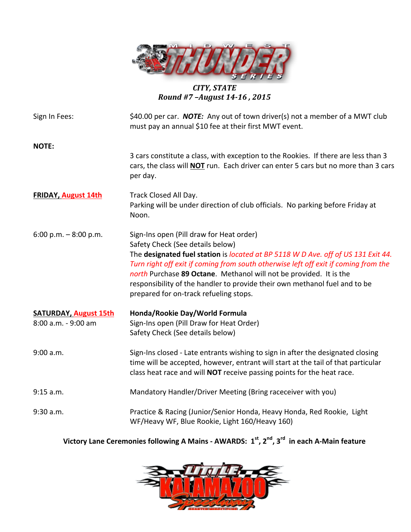

# *CITY, STATE Round #7 –August 14-16 , 2015*

| Sign In Fees:                                       | \$40.00 per car. <b>NOTE:</b> Any out of town driver(s) not a member of a MWT club<br>must pay an annual \$10 fee at their first MWT event.                                                                                                                                                                                                                                                                                                            |  |  |  |  |
|-----------------------------------------------------|--------------------------------------------------------------------------------------------------------------------------------------------------------------------------------------------------------------------------------------------------------------------------------------------------------------------------------------------------------------------------------------------------------------------------------------------------------|--|--|--|--|
| <b>NOTE:</b>                                        | 3 cars constitute a class, with exception to the Rookies. If there are less than 3<br>cars, the class will <b>NOT</b> run. Each driver can enter 5 cars but no more than 3 cars<br>per day.                                                                                                                                                                                                                                                            |  |  |  |  |
| <b>FRIDAY, August 14th</b>                          | Track Closed All Day.<br>Parking will be under direction of club officials. No parking before Friday at<br>Noon.                                                                                                                                                                                                                                                                                                                                       |  |  |  |  |
| 6:00 p.m. $-8:00$ p.m.                              | Sign-Ins open (Pill draw for Heat order)<br>Safety Check (See details below)<br>The designated fuel station is located at BP 5118 W D Ave. off of US 131 Exit 44.<br>Turn right off exit if coming from south otherwise left off exit if coming from the<br>north Purchase 89 Octane. Methanol will not be provided. It is the<br>responsibility of the handler to provide their own methanol fuel and to be<br>prepared for on-track refueling stops. |  |  |  |  |
| <b>SATURDAY, August 15th</b><br>8:00 a.m. - 9:00 am | Honda/Rookie Day/World Formula<br>Sign-Ins open (Pill Draw for Heat Order)<br>Safety Check (See details below)                                                                                                                                                                                                                                                                                                                                         |  |  |  |  |
| 9:00 a.m.                                           | Sign-Ins closed - Late entrants wishing to sign in after the designated closing<br>time will be accepted, however, entrant will start at the tail of that particular<br>class heat race and will NOT receive passing points for the heat race.                                                                                                                                                                                                         |  |  |  |  |
| 9:15 a.m.                                           | Mandatory Handler/Driver Meeting (Bring raceceiver with you)                                                                                                                                                                                                                                                                                                                                                                                           |  |  |  |  |
| 9:30 a.m.                                           | Practice & Racing (Junior/Senior Honda, Heavy Honda, Red Rookie, Light<br>WF/Heavy WF, Blue Rookie, Light 160/Heavy 160)                                                                                                                                                                                                                                                                                                                               |  |  |  |  |

**Victory Lane Ceremonies following A Mains - AWARDS:**  $1^{st}$ ,  $2^{nd}$ ,  $3^{rd}$  in each A-Main feature

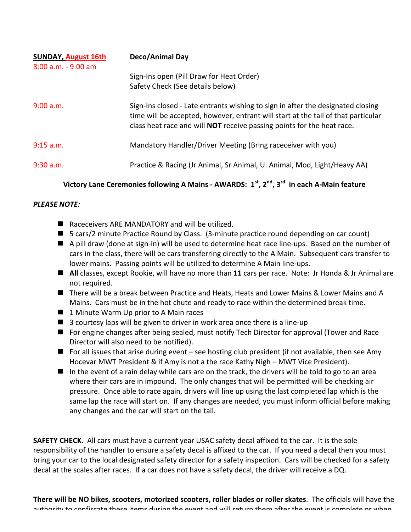| <b>SUNDAY, August 16th</b><br>$8:00$ a.m. - 9:00 am | Deco/Animal Day                                                                                                                                                                                                                                       |  |  |  |  |
|-----------------------------------------------------|-------------------------------------------------------------------------------------------------------------------------------------------------------------------------------------------------------------------------------------------------------|--|--|--|--|
|                                                     | Sign-Ins open (Pill Draw for Heat Order)<br>Safety Check (See details below)                                                                                                                                                                          |  |  |  |  |
| 9:00 a.m.                                           | Sign-Ins closed - Late entrants wishing to sign in after the designated closing<br>time will be accepted, however, entrant will start at the tail of that particular<br>class heat race and will <b>NOT</b> receive passing points for the heat race. |  |  |  |  |
| 9:15 a.m.                                           | Mandatory Handler/Driver Meeting (Bring raceceiver with you)                                                                                                                                                                                          |  |  |  |  |
| $9:30$ a.m.                                         | Practice & Racing (Jr Animal, Sr Animal, U. Animal, Mod, Light/Heavy AA)                                                                                                                                                                              |  |  |  |  |
|                                                     | $\epsilon$ , and the set of $\epsilon$                                                                                                                                                                                                                |  |  |  |  |

# **Victory Lane Ceremonies following A Mains - AWARDS:**  $1^{st}$ ,  $2^{nd}$ ,  $3^{rd}$  in each A-Main feature

### *PLEASE NOTE:*

- $\blacksquare$  Raceceivers ARE MANDATORY and will be utilized.
- $\blacksquare$  5 cars/2 minute Practice Round by Class. (3-minute practice round depending on car count)
- $\blacksquare$  A pill draw (done at sign-in) will be used to determine heat race line-ups. Based on the number of cars in the class, there will be cars transferring directly to the A Main. Subsequent cars transfer to lower mains. Passing points will be utilized to determine A Main line-ups.
- All classes, except Rookie, will have no more than 11 cars per race. Note: Jr Honda & Jr Animal are not required.
- There will be a break between Practice and Heats, Heats and Lower Mains & Lower Mains and A Mains. Cars must be in the hot chute and ready to race within the determined break time.
- $\blacksquare$  1 Minute Warm Up prior to A Main races
- $\blacksquare$  3 courtesy laps will be given to driver in work area once there is a line-up
- For engine changes after being sealed, must notify Tech Director for approval (Tower and Race Director will also need to be notified).
- **n** For all issues that arise during event see hosting club president (if not available, then see Amy Hocevar MWT President & if Amy is not a the race Kathy Nigh – MWT Vice President).
- $\blacksquare$  In the event of a rain delay while cars are on the track, the drivers will be told to go to an area where their cars are in impound. The only changes that will be permitted will be checking air pressure. Once able to race again, drivers will line up using the last completed lap which is the same lap the race will start on. If any changes are needed, you must inform official before making any changes and the car will start on the tail.

**SAFETY CHECK.** All cars must have a current year USAC safety decal affixed to the car. It is the sole responsibility of the handler to ensure a safety decal is affixed to the car. If you need a decal then you must bring your car to the local designated safety director for a safety inspection. Cars will be checked for a safety decal at the scales after races. If a car does not have a safety decal, the driver will receive a DQ.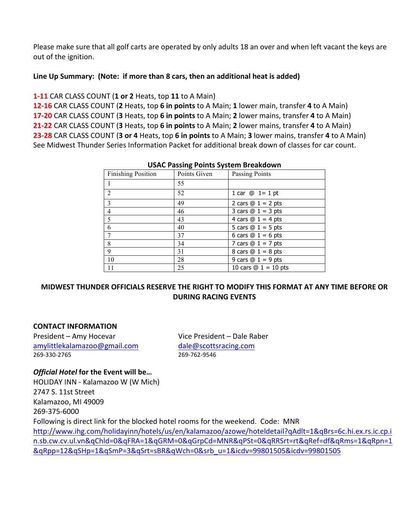Please make sure that all golf carts are operated by only adults 18 an over and when left vacant the keys are out of the ignition.

### Line Up Summary: (Note: if more than 8 cars, then an additional heat is added)

## **1-11** CAR CLASS COUNT (1 or 2 Heats, top 11 to A Main)

**12-16** CAR CLASS COUNT (2 Heats, top 6 in points to A Main; 1 lower main, transfer 4 to A Main) **17-20** CAR CLASS COUNT (3 Heats, top 6 in points to A Main; 2 lower mains, transfer 4 to A Main) **21-22** CAR CLASS COUNT (3 Heats, top 6 in points to A Main; 2 lower mains, transfer 4 to A Main) **23-28** CAR CLASS COUNT (3 or 4 Heats, top 6 in points to A Main; 3 lower mains, transfer 4 to A Main) See Midwest Thunder Series Information Packet for additional break down of classes for car count.

| OSAC Passing Politics System breakdown |              |                        |  |  |  |  |  |
|----------------------------------------|--------------|------------------------|--|--|--|--|--|
| <b>Finishing Position</b>              | Points Given | Passing Points         |  |  |  |  |  |
|                                        | 55           |                        |  |  |  |  |  |
| 2                                      | 52           | 1 car $@ 1 = 1 pt$     |  |  |  |  |  |
| $\overline{3}$                         | 49           | 2 cars $@ 1 = 2$ pts   |  |  |  |  |  |
| $\overline{4}$                         | 46           | 3 cars $@ 1 = 3$ pts   |  |  |  |  |  |
| 5                                      | 43           | 4 cars $@ 1 = 4$ pts   |  |  |  |  |  |
| 6                                      | 40           | 5 cars $@ 1 = 5$ pts   |  |  |  |  |  |
|                                        | 37           | 6 cars $@ 1 = 6$ pts   |  |  |  |  |  |
| 8                                      | 34           | 7 cars $@ 1 = 7$ pts   |  |  |  |  |  |
| 9                                      | 31           | 8 cars $@ 1 = 8$ pts   |  |  |  |  |  |
| 10                                     | 28           | 9 cars $@ 1 = 9$ pts   |  |  |  |  |  |
| 11                                     | 25           | 10 cars $@ 1 = 10$ pts |  |  |  |  |  |

#### **USAC Passing Points System Breakdown**

# **MIDWEST THUNDER OFFICIALS RESERVE THE RIGHT TO MODIFY THIS FORMAT AT ANY TIME BEFORE OR DURING RACING EVENTS**

## **CONTACT INFORMATION**

President – Amy Hocevar Vice President – Dale Raber amylittlekalamazoo@gmail.com dale@scottsracing.com 269-330-2765 269-762-9546

## *Official Hotel* **for the Event will be...**

HOLIDAY INN - Kalamazoo W (W Mich) 2747 S. 11st Street Kalamazoo, MI 49009 269-375-6000 Following is direct link for the blocked hotel rooms for the weekend. Code: MNR http://www.ihg.com/holidayinn/hotels/us/en/kalamazoo/azowe/hoteldetail?qAdlt=1&qBrs=6c.hi.ex.rs.ic.cp.i n.sb.cw.cv.ul.vn&qChld=0&qFRA=1&qGRM=0&qGrpCd=MNR&qPSt=0&qRRSrt=rt&qRef=df&qRms=1&qRpn=1 &qRpp=12&qSHp=1&qSmP=3&qSrt=sBR&qWch=0&srb\_u=1&icdv=99801505&icdv=99801505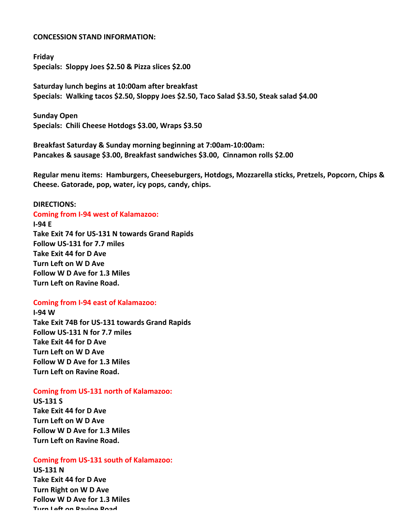#### **CONCESSION STAND INFORMATION:**

**Friday** Specials: Sloppy Joes \$2.50 & Pizza slices \$2.00

**Saturday lunch begins at 10:00am after breakfast** Specials: Walking tacos \$2.50, Sloppy Joes \$2.50, Taco Salad \$3.50, Steak salad \$4.00

**Sunday Open**  Specials: Chili Cheese Hotdogs \$3.00, Wraps \$3.50

Breakfast Saturday & Sunday morning beginning at 7:00am-10:00am: Pancakes & sausage \$3.00, Breakfast sandwiches \$3.00, Cinnamon rolls \$2.00

Regular menu items: Hamburgers, Cheeseburgers, Hotdogs, Mozzarella sticks, Pretzels, Popcorn, Chips & Cheese. Gatorade, pop, water, icy pops, candy, chips.

#### **DIRECTIONS:**

**Coming from I-94 west of Kalamazoo: I-94 E Take Exit 74 for US-131 N towards Grand Rapids Follow US-131 for 7.7 miles Take Exit 44 for D Ave Turn Left on W D Ave Follow W D Ave for 1.3 Miles Turn Left on Ravine Road.** 

#### **Coming from I-94 east of Kalamazoo:**

**I-94 W** Take Exit 74B for US-131 towards Grand Rapids **Follow US-131 N for 7.7 miles Take Exit 44 for D Ave Turn Left on W D Ave Follow W D Ave for 1.3 Miles Turn Left on Ravine Road.** 

#### **Coming from US-131 north of Kalamazoo:**

**US-131 S Take Exit 44 for D Ave Turn Left on W D Ave Follow W D Ave for 1.3 Miles Turn Left on Ravine Road.** 

#### **Coming from US-131 south of Kalamazoo:**

**US-131 N Take Exit 44 for D Ave Turn Right on W D Ave Follow W D Ave for 1.3 Miles Turn Left on Ravine Road.**